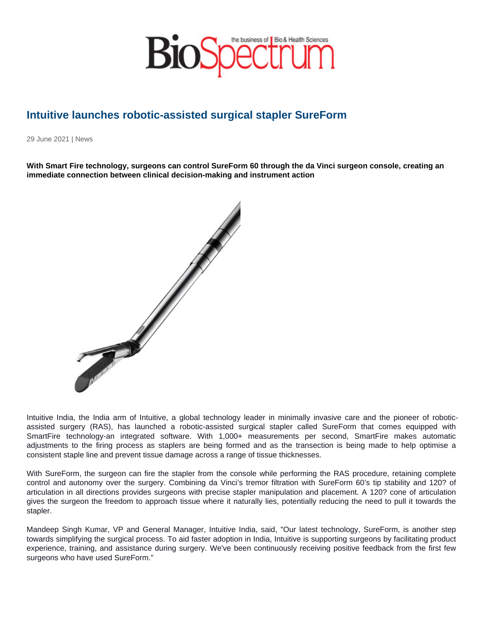## Intuitive launches robotic-assisted surgical stapler SureForm

29 June 2021 | News

With Smart Fire technology, surgeons can control SureForm 60 through the da Vinci surgeon console, creating an immediate connection between clinical decision-making and instrument action

Intuitive India, the India arm of Intuitive, a global technology leader in minimally invasive care and the pioneer of roboticassisted surgery (RAS), has launched a robotic-assisted surgical stapler called SureForm that comes equipped with SmartFire technology-an integrated software. With 1,000+ measurements per second, SmartFire makes automatic adjustments to the firing process as staplers are being formed and as the transection is being made to help optimise a consistent staple line and prevent tissue damage across a range of tissue thicknesses.

With SureForm, the surgeon can fire the stapler from the console while performing the RAS procedure, retaining complete control and autonomy over the surgery. Combining da Vinci's tremor filtration with SureForm 60's tip stability and 120? of articulation in all directions provides surgeons with precise stapler manipulation and placement. A 120? cone of articulation gives the surgeon the freedom to approach tissue where it naturally lies, potentially reducing the need to pull it towards the stapler.

Mandeep Singh Kumar, VP and General Manager, Intuitive India, said, "Our latest technology, SureForm, is another step towards simplifying the surgical process. To aid faster adoption in India, Intuitive is supporting surgeons by facilitating product experience, training, and assistance during surgery. We've been continuously receiving positive feedback from the first few surgeons who have used SureForm."